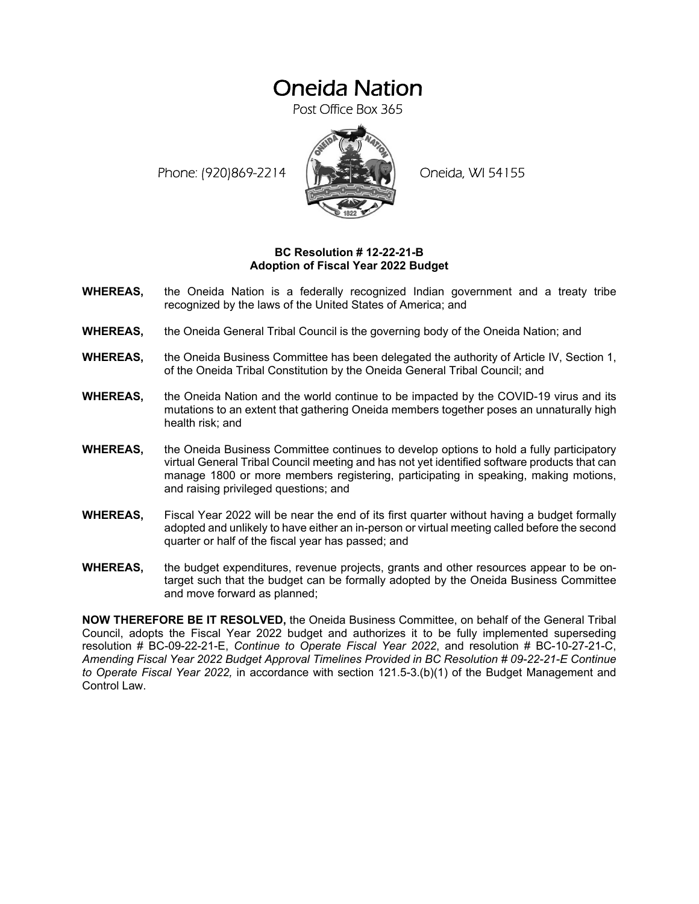## Oneida Nation

Post Office Box 365

Phone: (920)869-2214 (XXXXXXX) Oneida, WI 54155



## **BC Resolution # 12-22-21-B Adoption of Fiscal Year 2022 Budget**

- **WHEREAS,** the Oneida Nation is a federally recognized Indian government and a treaty tribe recognized by the laws of the United States of America; and
- **WHEREAS,** the Oneida General Tribal Council is the governing body of the Oneida Nation; and
- **WHEREAS,** the Oneida Business Committee has been delegated the authority of Article IV, Section 1, of the Oneida Tribal Constitution by the Oneida General Tribal Council; and
- **WHEREAS,** the Oneida Nation and the world continue to be impacted by the COVID-19 virus and its mutations to an extent that gathering Oneida members together poses an unnaturally high health risk; and
- **WHEREAS,** the Oneida Business Committee continues to develop options to hold a fully participatory virtual General Tribal Council meeting and has not yet identified software products that can manage 1800 or more members registering, participating in speaking, making motions, and raising privileged questions; and
- **WHEREAS,** Fiscal Year 2022 will be near the end of its first quarter without having a budget formally adopted and unlikely to have either an in-person or virtual meeting called before the second quarter or half of the fiscal year has passed; and
- **WHEREAS,** the budget expenditures, revenue projects, grants and other resources appear to be ontarget such that the budget can be formally adopted by the Oneida Business Committee and move forward as planned;

**NOW THEREFORE BE IT RESOLVED,** the Oneida Business Committee, on behalf of the General Tribal Council, adopts the Fiscal Year 2022 budget and authorizes it to be fully implemented superseding resolution # BC-09-22-21-E, *Continue to Operate Fiscal Year 2022*, and resolution # BC-10-27-21-C, *Amending Fiscal Year 2022 Budget Approval Timelines Provided in BC Resolution # 09-22-21-E Continue to Operate Fiscal Year 2022,* in accordance with section 121.5-3.(b)(1) of the Budget Management and Control Law.